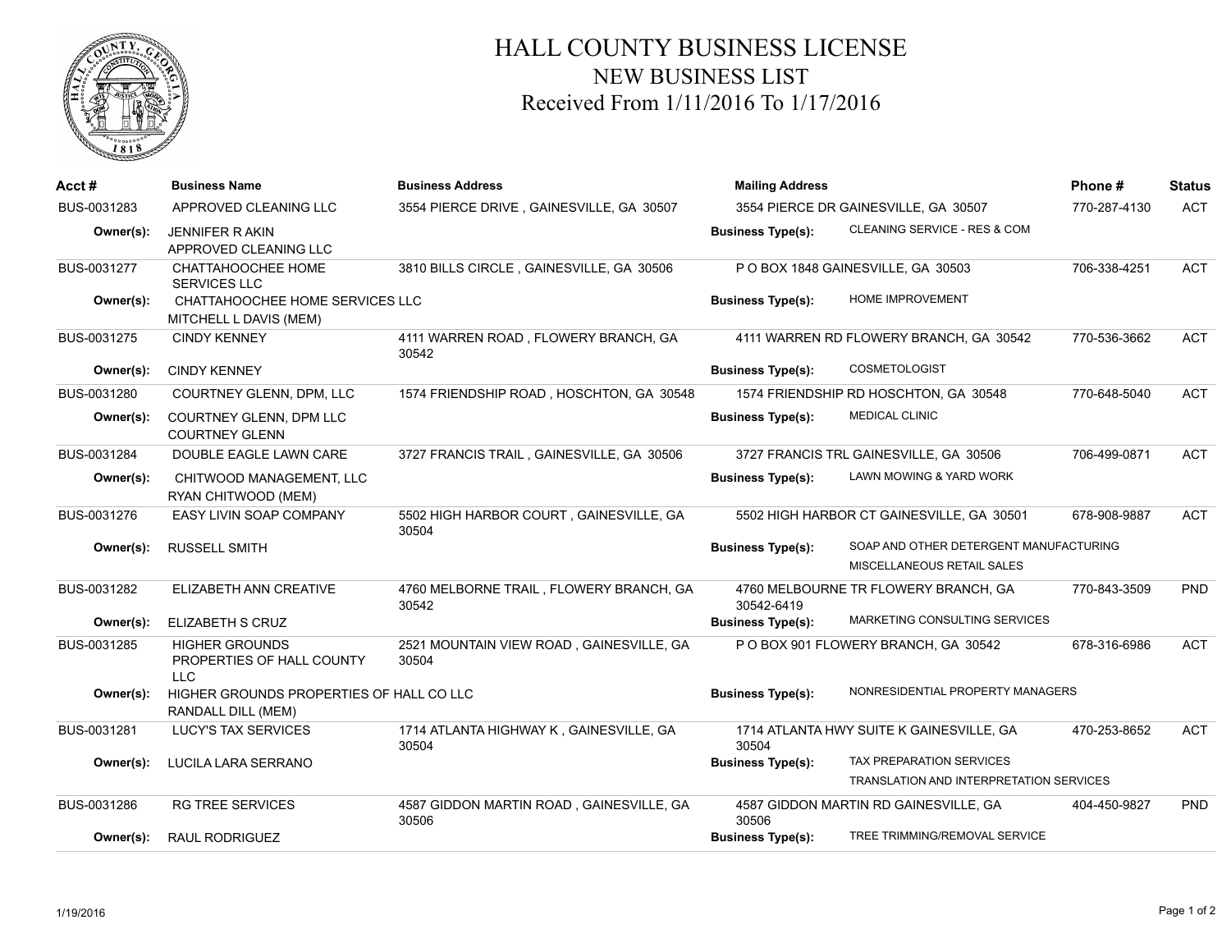

## HALL COUNTY BUSINESS LICENSE NEW BUSINESS LIST Received From 1/11/2016 To 1/17/2016

| Acct#       | <b>Business Name</b>                                           | <b>Business Address</b>                           | <b>Mailing Address</b>               |                                                                      | Phone#       | <b>Status</b> |
|-------------|----------------------------------------------------------------|---------------------------------------------------|--------------------------------------|----------------------------------------------------------------------|--------------|---------------|
| BUS-0031283 | APPROVED CLEANING LLC                                          | 3554 PIERCE DRIVE, GAINESVILLE, GA 30507          | 3554 PIERCE DR GAINESVILLE, GA 30507 |                                                                      | 770-287-4130 | <b>ACT</b>    |
| Owner(s):   | <b>JENNIFER RAKIN</b><br>APPROVED CLEANING LLC                 |                                                   | <b>Business Type(s):</b>             | CLEANING SERVICE - RES & COM                                         |              |               |
| BUS-0031277 | CHATTAHOOCHEE HOME<br><b>SERVICES LLC</b>                      | 3810 BILLS CIRCLE, GAINESVILLE, GA 30506          |                                      | P O BOX 1848 GAINESVILLE, GA 30503                                   | 706-338-4251 | <b>ACT</b>    |
| Owner(s):   | CHATTAHOOCHEE HOME SERVICES LLC<br>MITCHELL L DAVIS (MEM)      |                                                   | <b>Business Type(s):</b>             | <b>HOME IMPROVEMENT</b>                                              |              |               |
| BUS-0031275 | <b>CINDY KENNEY</b>                                            | 4111 WARREN ROAD, FLOWERY BRANCH, GA<br>30542     |                                      | 4111 WARREN RD FLOWERY BRANCH, GA 30542                              | 770-536-3662 | <b>ACT</b>    |
| Owner(s):   | <b>CINDY KENNEY</b>                                            |                                                   | <b>Business Type(s):</b>             | <b>COSMETOLOGIST</b>                                                 |              |               |
| BUS-0031280 | COURTNEY GLENN, DPM, LLC                                       | 1574 FRIENDSHIP ROAD, HOSCHTON, GA 30548          |                                      | 1574 FRIENDSHIP RD HOSCHTON, GA 30548                                | 770-648-5040 | <b>ACT</b>    |
| Owner(s):   | COURTNEY GLENN, DPM LLC<br><b>COURTNEY GLENN</b>               |                                                   | <b>Business Type(s):</b>             | <b>MEDICAL CLINIC</b>                                                |              |               |
| BUS-0031284 | DOUBLE EAGLE LAWN CARE                                         | 3727 FRANCIS TRAIL, GAINESVILLE, GA 30506         |                                      | 3727 FRANCIS TRL GAINESVILLE, GA 30506                               | 706-499-0871 | <b>ACT</b>    |
| Owner(s):   | CHITWOOD MANAGEMENT, LLC<br>RYAN CHITWOOD (MEM)                |                                                   | <b>Business Type(s):</b>             | LAWN MOWING & YARD WORK                                              |              |               |
| BUS-0031276 | EASY LIVIN SOAP COMPANY                                        | 5502 HIGH HARBOR COURT, GAINESVILLE, GA<br>30504  |                                      | 5502 HIGH HARBOR CT GAINESVILLE, GA 30501                            | 678-908-9887 | <b>ACT</b>    |
| Owner(s):   | <b>RUSSELL SMITH</b>                                           |                                                   | <b>Business Type(s):</b>             | SOAP AND OTHER DETERGENT MANUFACTURING<br>MISCELLANEOUS RETAIL SALES |              |               |
| BUS-0031282 | ELIZABETH ANN CREATIVE                                         | 4760 MELBORNE TRAIL, FLOWERY BRANCH, GA<br>30542  | 30542-6419                           | 4760 MELBOURNE TR FLOWERY BRANCH, GA                                 | 770-843-3509 | PND           |
| Owner(s):   | <b>ELIZABETH S CRUZ</b>                                        |                                                   | <b>Business Type(s):</b>             | MARKETING CONSULTING SERVICES                                        |              |               |
| BUS-0031285 | <b>HIGHER GROUNDS</b><br>PROPERTIES OF HALL COUNTY<br>LLC.     | 2521 MOUNTAIN VIEW ROAD, GAINESVILLE, GA<br>30504 |                                      | P O BOX 901 FLOWERY BRANCH, GA 30542                                 | 678-316-6986 | <b>ACT</b>    |
| Owner(s):   | HIGHER GROUNDS PROPERTIES OF HALL CO LLC<br>RANDALL DILL (MEM) |                                                   | <b>Business Type(s):</b>             | NONRESIDENTIAL PROPERTY MANAGERS                                     |              |               |
| BUS-0031281 | <b>LUCY'S TAX SERVICES</b>                                     | 1714 ATLANTA HIGHWAY K, GAINESVILLE, GA<br>30504  | 30504                                | 1714 ATLANTA HWY SUITE K GAINESVILLE, GA                             | 470-253-8652 | <b>ACT</b>    |
| Owner(s):   | LUCILA LARA SERRANO                                            |                                                   | <b>Business Type(s):</b>             | TAX PREPARATION SERVICES<br>TRANSLATION AND INTERPRETATION SERVICES  |              |               |
| BUS-0031286 | <b>RG TREE SERVICES</b>                                        | 4587 GIDDON MARTIN ROAD, GAINESVILLE, GA<br>30506 | 30506                                | 4587 GIDDON MARTIN RD GAINESVILLE, GA                                | 404-450-9827 | <b>PND</b>    |
| Owner(s):   | <b>RAUL RODRIGUEZ</b>                                          |                                                   | <b>Business Type(s):</b>             | TREE TRIMMING/REMOVAL SERVICE                                        |              |               |